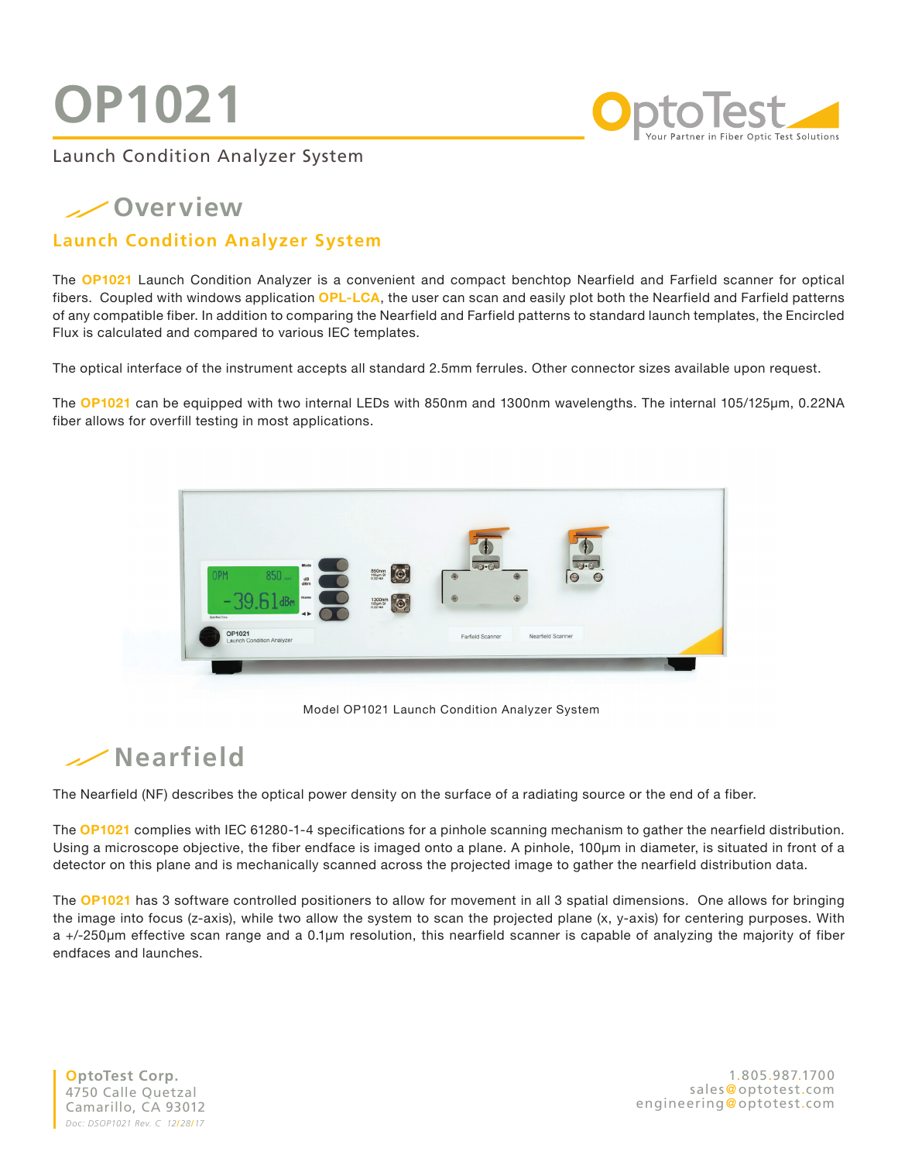# **OP1021**



Launch Condition Analyzer System

### **Overview**

#### **Launch Condition Analyzer System**

The **OP1021** Launch Condition Analyzer is a convenient and compact benchtop Nearfield and Farfield scanner for optical fibers. Coupled with windows application **OPL-LCA**, the user can scan and easily plot both the Nearfield and Farfield patterns of any compatible fiber. In addition to comparing the Nearfield and Farfield patterns to standard launch templates, the Encircled Flux is calculated and compared to various IEC templates.

The optical interface of the instrument accepts all standard 2.5mm ferrules. Other connector sizes available upon request.

The **OP1021** can be equipped with two internal LEDs with 850nm and 1300nm wavelengths. The internal 105/125µm, 0.22NA fiber allows for overfill testing in most applications.



Model OP1021 Launch Condition Analyzer System

## **Nearfield**

The Nearfield (NF) describes the optical power density on the surface of a radiating source or the end of a fiber.

The **OP1021** complies with IEC 61280-1-4 specifications for a pinhole scanning mechanism to gather the nearfield distribution. Using a microscope objective, the fiber endface is imaged onto a plane. A pinhole, 100µm in diameter, is situated in front of a detector on this plane and is mechanically scanned across the projected image to gather the nearfield distribution data.

The OP1021 has 3 software controlled positioners to allow for movement in all 3 spatial dimensions. One allows for bringing the image into focus (z-axis), while two allow the system to scan the projected plane (x, y-axis) for centering purposes. With a +/-250µm effective scan range and a 0.1µm resolution, this nearfield scanner is capable of analyzing the majority of fiber endfaces and launches.

**OptoTest Corp.** 4750 Calle Quetzal Camarillo, CA 93012 *Doc: DSOP1021 Rev. C 12*/*28*/*17*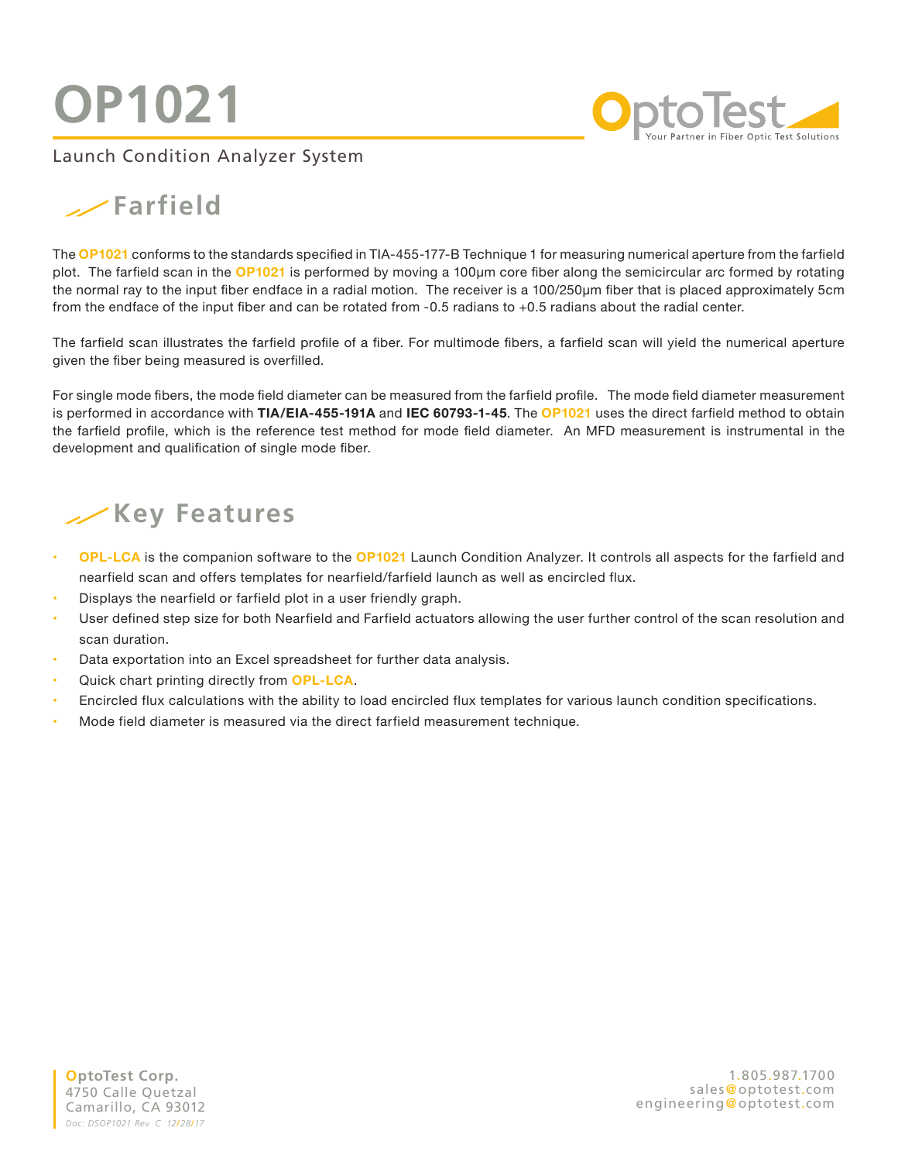**OP1021**

**O**ptoTest

### Launch Condition Analyzer System

## **Farfield**

The **OP1021** conforms to the standards specified in TIA-455-177-B Technique 1 for measuring numerical aperture from the farfield plot. The farfield scan in the **OP1021** is performed by moving a 100µm core fiber along the semicircular arc formed by rotating the normal ray to the input fiber endface in a radial motion. The receiver is a 100/250µm fiber that is placed approximately 5cm from the endface of the input fiber and can be rotated from -0.5 radians to +0.5 radians about the radial center.

The farfield scan illustrates the farfield profile of a fiber. For multimode fibers, a farfield scan will yield the numerical aperture given the fiber being measured is overfilled.

For single mode fibers, the mode field diameter can be measured from the farfield profile. The mode field diameter measurement is performed in accordance with **TIA/EIA-455-191A** and **IEC 60793-1-45**. The **OP1021** uses the direct farfield method to obtain the farfield profile, which is the reference test method for mode field diameter. An MFD measurement is instrumental in the development and qualification of single mode fiber.

## **Key Features**

- **OPL-LCA** is the companion software to the **OP1021** Launch Condition Analyzer. It controls all aspects for the farfield and nearfield scan and offers templates for nearfield/farfield launch as well as encircled flux.
- Displays the nearfield or farfield plot in a user friendly graph.
- User defined step size for both Nearfield and Farfield actuators allowing the user further control of the scan resolution and scan duration.
- **•** Data exportation into an Excel spreadsheet for further data analysis.
- Quick chart printing directly from **OPL-LCA**.
- Encircled flux calculations with the ability to load encircled flux templates for various launch condition specifications.
- Mode field diameter is measured via the direct farfield measurement technique.